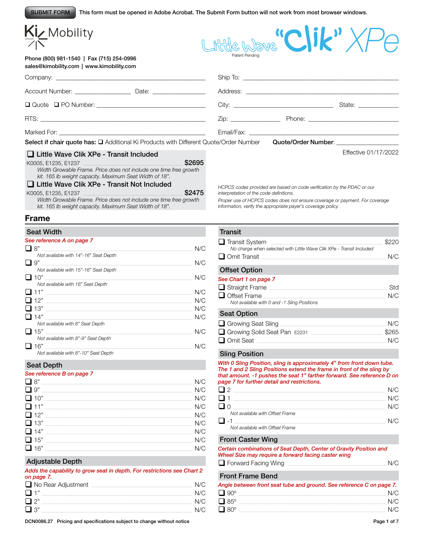This form must be opened in Adobe Acrobat. The Submit Form button will not work from most browser windows. SUBMIT FORM

| KIZ Mobility                                                                                                                                                                                                                                                            |        |                                         |                                                                                                                |                                 |
|-------------------------------------------------------------------------------------------------------------------------------------------------------------------------------------------------------------------------------------------------------------------------|--------|-----------------------------------------|----------------------------------------------------------------------------------------------------------------|---------------------------------|
|                                                                                                                                                                                                                                                                         |        |                                         | $\overline{\phantom{a}}$                                                                                       |                                 |
| Phone (800) 981-1540   Fax (715) 254-0996<br>sales@kimobility.com   www.kimobility.com                                                                                                                                                                                  |        | Patent Pending                          |                                                                                                                |                                 |
|                                                                                                                                                                                                                                                                         |        |                                         |                                                                                                                |                                 |
| Account Number: Date: Date:                                                                                                                                                                                                                                             |        |                                         |                                                                                                                |                                 |
|                                                                                                                                                                                                                                                                         |        |                                         |                                                                                                                | State: National Assembly State: |
|                                                                                                                                                                                                                                                                         |        |                                         |                                                                                                                |                                 |
|                                                                                                                                                                                                                                                                         |        |                                         |                                                                                                                |                                 |
| <b>Select if chair quote has:</b> $\square$ Additional Ki Products with Different Quote/Order Number                                                                                                                                                                    |        |                                         | Quote/Order Number: North and the Contract of the Contract of Tennes and Tennes and Tennes and Tennes and Tenn |                                 |
| $\Box$ Little Wave Clik XPe - Transit Included                                                                                                                                                                                                                          |        |                                         |                                                                                                                | Effective 01/17/2022            |
| and the control of the control of the control of the control of the control of the control of the control of the<br>K0005, E1235, E1237<br>Width Growable Frame. Price does not include one time free growth<br>kit. 165 lb weight capacity. Maximum Seat Width of 18". | \$2695 |                                         |                                                                                                                |                                 |
| □ Little Wave Clik XPe - Transit Not Included                                                                                                                                                                                                                           |        |                                         | HCPCS codes provided are based on code verification by the PDAC or our                                         |                                 |
| K0005, E1235, E1237                                                                                                                                                                                                                                                     | \$2475 | interpretation of the code definitions. |                                                                                                                |                                 |

*Width Growable Frame. Price does not include one time free growth kit. 165 lb weight capacity. Maximum Seat Width of 18".*

#### **Frame**

 $\overline{a}$ 

| <b>Seat Width</b>                     |     |
|---------------------------------------|-----|
| See reference A on page 7             |     |
| "8 ⊑                                  | N/C |
| Not available with 14"-16" Seat Depth |     |
| 9"                                    | N/C |
| Not available with 15"-16" Seat Depth |     |
| $\Box$ 10"                            | N/C |
| Not available with 16" Seat Depth     |     |
| וני ב"                                | N/C |
| $\Box$ 12"                            | N/C |
| ⊔ 13"                                 | N/C |
| 14"                                   | N/C |
| Not available with 8" Seat Depth      |     |
| 15"                                   | N/C |
| Not available with 8"-9" Seat Depth   |     |
| 16"                                   | N/C |
| Not available with 8"-10" Seat Depth  |     |

#### Seat Depth

#### *See reference B on page 7*

| 8"<br>$\Box$ | N/C |
|--------------|-----|
| $\Box$ 9"    | N/C |
| $\Box$ 10"   | N/C |
| $\Box$ 11"   | N/C |
| $\Box$ 12"   | N/C |
| $\Box$ 13"   | N/C |
| $\Box$ 14"   | N/C |
| $\Box$ 15"   | N/C |
| $\Box$ 16"   | N/C |

## Adjustable Depth

*Adds the capability to grow seat in depth. For restrictions see Chart 2 on page 7.*

| $\Box$ No Rear Adjustment | N/C |
|---------------------------|-----|
| $\Box$ 1"                 | N/C |
| $\Box$ 2"                 | N/C |
| $\square$ 3"              | N/C |

DCN0086.27 Pricing and specifications subject to change without notice Page 1 of 7

*Proper use of HCPCS codes does not ensure coverage or payment. For coverage information, verify the appropriate payer's coverage policy.*

### **Transit**  $\Box$  Transit System  $\Box$

| $\Box$ Transit ovstem                                                                                                                                                                                                                                                                                                                                                                | ®∠∠∪          |
|--------------------------------------------------------------------------------------------------------------------------------------------------------------------------------------------------------------------------------------------------------------------------------------------------------------------------------------------------------------------------------------|---------------|
| No charge when selected with Little Wave Clik XPe - Transit Included                                                                                                                                                                                                                                                                                                                 |               |
| $\Box$ Omit Transit                                                                                                                                                                                                                                                                                                                                                                  | N/C           |
|                                                                                                                                                                                                                                                                                                                                                                                      |               |
| <b>Offset Option</b>                                                                                                                                                                                                                                                                                                                                                                 |               |
| See Chart 1 on page 7                                                                                                                                                                                                                                                                                                                                                                |               |
| $\Box$ Straight Frame                                                                                                                                                                                                                                                                                                                                                                | Std           |
| $\Box$ Offset Frame                                                                                                                                                                                                                                                                                                                                                                  | N/C           |
| Not available with 0 and -1 Sling Positions                                                                                                                                                                                                                                                                                                                                          |               |
| <b>Seat Option</b>                                                                                                                                                                                                                                                                                                                                                                   |               |
| $\overline{a}$ $\overline{a}$ $\overline{a}$ $\overline{a}$ $\overline{a}$ $\overline{a}$ $\overline{a}$ $\overline{a}$ $\overline{a}$ $\overline{a}$ $\overline{a}$ $\overline{a}$ $\overline{a}$ $\overline{a}$ $\overline{a}$ $\overline{a}$ $\overline{a}$ $\overline{a}$ $\overline{a}$ $\overline{a}$ $\overline{a}$ $\overline{a}$ $\overline{a}$ $\overline{a}$ $\overline{$ | $\frac{1}{2}$ |

| Growing Seat Sling           | N/C   |
|------------------------------|-------|
| Growing Solid Seat Pan E2231 | \$265 |
| $\Box$ Omit Seat             | N/C   |

# Sling Position

*With 0 Sling Position, sling is approximately 4" from front down tube. The 1 and 2 Sling Positions extend the frame in front of the sling by that amount. -1 pushes the seat 1" farther forward. See reference D on page 7 for further detail and restrictions.*

| l 12                            | N/C |
|---------------------------------|-----|
|                                 | N/C |
|                                 | N/C |
| Not available with Offset Frame |     |
|                                 | N/C |
| Not available with Offset Frame |     |

# Front Caster Wing

*Certain combinations of Seat Depth, Center of Gravity Position and Wheel Size may require a forward facing caster wing* q Forward Facing Wing \_\_\_\_\_\_\_\_\_\_\_\_\_\_\_\_\_\_\_\_\_\_\_\_\_\_\_\_\_\_\_\_\_\_\_\_\_\_\_\_\_\_\_\_\_\_\_\_\_\_\_\_\_\_\_\_\_\_\_\_\_\_\_\_\_\_\_\_\_\_\_ N/C

#### Front Frame Bend

| Angle between front seat tube and ground. See reference C on page 7. |     |
|----------------------------------------------------------------------|-----|
| $\Box$ 90 $^{\circ}$                                                 | N/C |
| $\Box$ 85°                                                           | N/C |
| $\Box$ 80 $^{\circ}$                                                 | N/C |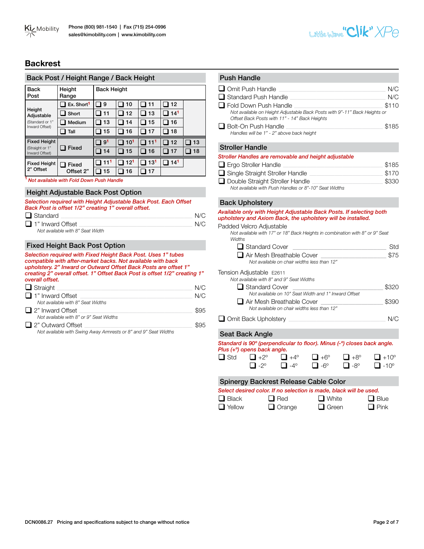

# **Backrest**

### Back Post / Height Range / Back Height

| <b>Back</b><br>Post               | Height<br>Range                    | <b>Back Height</b> |                 |                 |     |    |
|-----------------------------------|------------------------------------|--------------------|-----------------|-----------------|-----|----|
|                                   | $\mathbf 1$ Ex. Short <sup>1</sup> | 9                  | 10              | 11              | 12  |    |
| Height<br>Adjustable              | Short                              | 11                 | 12              | 13              | 141 |    |
| (Standard or 1"                   | Medium                             | 13                 | 14              | 15              | 16  |    |
| Inward Offset)                    | Tall                               | 15                 | 16              | 17              | 18  |    |
| <b>Fixed Height</b>               |                                    | 9 <sup>1</sup>     | 10 <sup>1</sup> | 11 <sup>1</sup> | 12  | 13 |
| (Straight or 1"<br>Inward Offset) | Fixed                              | 14                 | 15              | 16              | 17  | 18 |
|                                   |                                    |                    |                 |                 |     |    |
| <b>Fixed Height</b>               | <b>Fixed</b>                       | 11 <sup>1</sup>    | 12 <sup>1</sup> | 13 <sup>1</sup> | 141 |    |
| 2" Offset                         | Offset 2"                          | 15                 | 16              | 17              |     |    |

# Height Adjustable Back Post Option

|        | Selection required with Height Adjustable Back Post. Each Offset |
|--------|------------------------------------------------------------------|
|        | Back Post is offset 1/2" creating 1" overall offset.             |
| $\Box$ |                                                                  |

| $\Box$ Standard                                                                               | N/C |
|-----------------------------------------------------------------------------------------------|-----|
| $\Box$ 1" Inward Offset                                                                       | N/C |
| $N = 1$ $\ldots$ $N = 1$ $\ldots$ $\Delta L = 0$ $\Delta L = 0$ $\Delta L = 1$ $\Delta R = 1$ |     |

*Not available with 8" Seat Width*

# Fixed Height Back Post Option

*Selection required with Fixed Height Back Post. Uses 1" tubes compatible with after-market backs. Not available with back upholstery. 2" Inward or Outward Offset Back Posts are offset 1" creating 2" overall offset. 1" Offset Back Post is offset 1/2" creating 1" overall offset.*

| $\Box$ Straight                         | N/C  |
|-----------------------------------------|------|
| $\Box$ 1" Inward Offset                 | N/C  |
| Not available with 8" Seat Widths       |      |
| $\Box$ 2" Inward Offset                 | \$95 |
| Not available with 8" or 9" Seat Widths |      |
| $\Box$ 2" Outward Offset                | \$95 |
|                                         |      |

*Not available with Swing Away Armrests or 8" and 9" Seat Widths*

# Push Handle **Q** Omit Push Handle **Quarter**  $\Box$  Omit Push Handle

| မ∎ ∪пікт чэн папаю                                                                                                         | $\cdots$ |
|----------------------------------------------------------------------------------------------------------------------------|----------|
| $\Box$ Standard Push Handle                                                                                                | N/C      |
| $\Box$ Fold Down Push Handle                                                                                               | \$110    |
| Not available on Height Adjustable Back Posts with 9"-11" Back Heights or<br>Offset Back Posts with 11" - 14" Back Heights |          |
| $\Box$ Bolt-On Push Handle                                                                                                 | \$185    |
| Handles will be 1" - 2" above back height                                                                                  |          |

#### Stroller Handle

| Stroller Handles are removable and height adjustable  |       |
|-------------------------------------------------------|-------|
| $\Box$ Ergo Stroller Handle                           | \$185 |
| $\Box$ Single Straight Stroller Handle                | \$170 |
| Double Straight Stroller Handle                       | \$330 |
| Not available with Push Handles or 8"-10" Seat Widths |       |

### Back Upholstery

*Available only with Height Adjustable Back Posts. If selecting both upholstery and Axiom Back, the upholstery will be installed.*

#### Padded Velcro Adjustable

*Not available with 17" or 18" Back Heights in combination with 8" or 9" Seat Widths*

| $\Box$ Standard Cover                       |      |
|---------------------------------------------|------|
| $\Box$ Air Mesh Breathable Cover            | \$75 |
| Not available on chair widths less than 12" |      |

#### Tension Adjustable E2611

| Not available with 8" and 9" Seat Widths             |       |
|------------------------------------------------------|-------|
| $\Box$ Standard Cover                                | \$320 |
| Not available on 10" Seat Width and 1" Inward Offset |       |
| Air Mesh Breathable Cover                            | \$390 |
| Not available on chair widths less than 12"          |       |
|                                                      |       |

| Omit Back Upholstery | N/C |
|----------------------|-----|
|----------------------|-----|

# Seat Back Angle

|            | Standard is 90° (perpendicular to floor). Minus (-°) closes back angle.<br>Plus (+ <sup>o</sup> ) opens back angle. |                                  |            |            |             |
|------------|---------------------------------------------------------------------------------------------------------------------|----------------------------------|------------|------------|-------------|
| $\Box$ Std | $\Box$ +2°                                                                                                          | $\parallel \parallel +4^{\circ}$ | $\Box$ +6° | $\Box$ +8° | $\Box$ +10° |

|                                                                    | $\Box$ -2° | $\Box$ -4 <sup>o</sup> | $\Box$ -6° | $\Box$ -8° | $\Box$ -10 $^{\circ}$ |  |
|--------------------------------------------------------------------|------------|------------------------|------------|------------|-----------------------|--|
| Spinergy Backrest Release Cable Color                              |            |                        |            |            |                       |  |
| Select desired color. If no selection is made, black will be used. |            |                        |            |            |                       |  |

| $\Box$ Black    | $\Box$ Red    | $\Box$ White | $\Box$ Blue |
|-----------------|---------------|--------------|-------------|
| <b>T</b> Yellow | $\Box$ Orange | $\Box$ Green | $\Box$ Pink |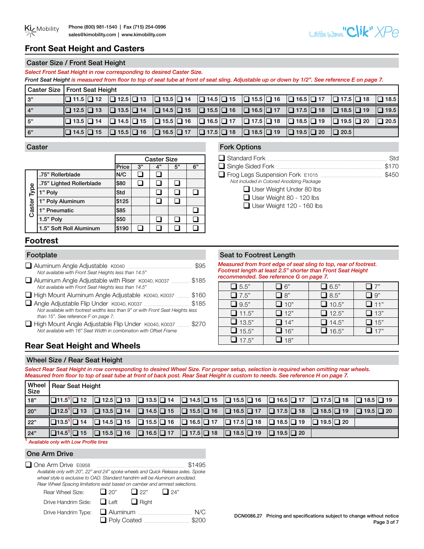

# **Front Seat Height and Casters**

# Caster Size / Front Seat Height

*Select Front Seat Height in row corresponding to desired Caster Size.*

*Front Seat Height is measured from floor to top of seat tube at front of seat sling. Adjustable up or down by 1/2". See reference E on page 7.*  Caster Size Front Seat Height

| i Gaster Əlze Tribiil Əlal Heiyili |                                                                                                                                                                                                                                                                   |  |  |             |             |
|------------------------------------|-------------------------------------------------------------------------------------------------------------------------------------------------------------------------------------------------------------------------------------------------------------------|--|--|-------------|-------------|
| 3"                                 | $\Box$ 11.5 $\Box$ 12 $\Box$ 12.5 $\Box$ 13 $\Box$ 13.5 $\Box$ 14 $\Box$ 14.5 $\Box$ 15 $\Box$ 15.5 $\Box$ 16 $\Box$ 16.5 $\Box$ 17 $\Box$ 17.5 $\Box$ 18                                                                                                         |  |  |             | $\Box$ 18.5 |
| 4"                                 | $\boxed{ \Box$ 12.5 $\boxed{ \Box}$ 13 $\boxed{ \Box}$ 13.5 $\boxed{ \Box}$ 14 $\boxed{ \Box}$ 14.5 $\boxed{ \Box}$ 15 $\boxed{ \Box}$ 16 $\boxed{ \Box}$ 16.5 $\boxed{ \Box}$ 17 $\boxed{ \Box}$ 17.5 $\boxed{ \Box}$ 18 $\boxed{ \Box}$ 18.5 $\boxed{ \Box}$ 19 |  |  |             | $\Box$ 19.5 |
| 5"                                 | $\boxed{ \Box 13.5 \Box 14} \quad \boxed{ \Box 14.5 \Box 15} \quad \boxed{ \Box 15.5 \Box 16} \quad \boxed{ \Box 16.5 \Box 17} \quad \boxed{ \Box 17.5 \Box 18} \quad \boxed{ \Box 18.5 \Box 19} \quad \boxed{ \Box 19.5 \Box 20}$                                |  |  |             | $\Box$ 20.5 |
| 6"                                 | $\Box$ 14.5 $\Box$ 15 $\Box$ 15.5 $\Box$ 16 $\Box$ 16.5 $\Box$ 17 $\Box$ 17.5 $\Box$ 18 $\Box$ 18.5 $\Box$ 19 $\Box$ 19.5 $\Box$ 20                                                                                                                               |  |  | $\Box$ 20.5 |             |

### **Caster**

|             |                          | <b>Caster Size</b> |    |    |    |    |
|-------------|--------------------------|--------------------|----|----|----|----|
|             |                          | Price              | 3" | 4" | 5" | 6" |
|             | .75" Rollerblade         | N/C                |    |    |    |    |
|             | .75" Lighted Rollerblade | \$80               |    |    |    |    |
|             | 1" Poly                  | Std                |    |    |    |    |
| Caster Type | 1" Poly Aluminum         | \$125              |    |    |    |    |
|             | 1" Pneumatic             | \$85               |    |    |    |    |
|             | 1.5" Poly                | \$50               |    |    |    |    |
|             | 1.5" Soft Roll Aluminum  | \$190              |    |    |    |    |

# Fork Options

| Std   |
|-------|
| \$170 |
| \$450 |
|       |
|       |
|       |

User Weight 120 - 160 lbs

# **Footrest**

| Aluminum Angle Adjustable K0040<br>Not available with Front Seat Heights less than 14.5"                                                                            |       |
|---------------------------------------------------------------------------------------------------------------------------------------------------------------------|-------|
| Aluminum Angle Adjustable with Riser K0040, K0037<br>Not available with Front Seat Heights less than 14.5"                                                          | \$185 |
| High Mount Aluminum Angle Adjustable K0040, K0037                                                                                                                   | \$160 |
| Angle Adjustable Flip Under K0040, K0037<br>Not available with footrest widths less than 9" or with Front Seat Heights less<br>than 15". See reference F on page 7. | \$185 |
| High Mount Angle Adjustable Flip Under K0040, K0037<br>Not available with 16" Seat Width in combination with Offset Frame                                           | S270  |
| <b>Rear Seat Height and Wheels</b>                                                                                                                                  |       |

# Footplate Seat to Footrest Length

*Measured from front edge of seat sling to top, rear of footrest. Footrest length at least 2.5" shorter than Front Seat Height recommended. See reference G on page 7.* 

| $\Box$ 5.5"          | 16"        | $\Box$ 6.5"  | 17"                           |
|----------------------|------------|--------------|-------------------------------|
| $\Box$ 7.5"          | $\Box$ 8"  | $\Box$ 8.5"  | l 9"                          |
| $\Box$ 9.5"          | $\Box$ 10" | $\Box$ 10.5" | $\square$ 11"                 |
| $\Box$ 11.5"         | $\Box$ 12" | $\Box$ 12.5" | $\Box$ 13"                    |
| $\Box$ 13.5"         | $\Box$ 14" | $\Box$ 14.5" | $\Box$ 15"                    |
| $\Box$ 15.5"         | $\Box$ 16" | $\Box$ 16.5" | $\mathbf{\mathbf{\perp}}$ 17" |
| $\blacksquare$ 17.5" | 18"        |              |                               |

# Wheel Size / Rear Seat Height

*Select Rear Seat Height in row corresponding to desired Wheel Size. For proper setup, selection is required when omitting rear wheels. Measured from floor to top of seat tube at front of back post. Rear Seat Height is custom to needs. See reference H on page 7.* 

| Wheel<br>Size | Rear Seat Height                                         |                                                                         |                                                                                                                                                                                 |                       |                                             |                                             |                       |                       |
|---------------|----------------------------------------------------------|-------------------------------------------------------------------------|---------------------------------------------------------------------------------------------------------------------------------------------------------------------------------|-----------------------|---------------------------------------------|---------------------------------------------|-----------------------|-----------------------|
| 18"           | $\Box$ 11.5 <sup>1</sup> $\Box$ 12 $\Box$ 12.5 $\Box$ 13 |                                                                         | $\Box$ 13.5 $\Box$ 14 $\Box$ 14.5 $\Box$ 15                                                                                                                                     |                       |                                             | $\Box$ 15.5 $\Box$ 16 $\Box$ 16.5 $\Box$ 17 | $\Box$ 17.5 $\Box$ 18 | $\Box$ 18.5 $\Box$ 19 |
| 20"           |                                                          |                                                                         | $\boxed{ \Box 12.5^1 \Box 13}$ $\boxed{ \Box 13.5 \Box 14}$ $\boxed{ \Box 14.5 \Box 15}$ $\boxed{ \Box 15.5 \Box 16}$ $\boxed{ \Box 16.5 \Box 17}$ $\boxed{ \Box 17.5 \Box 18}$ |                       |                                             |                                             | $\Box$ 18.5 $\Box$ 19 | $\Box$ 19.5 $\Box$ 20 |
| 22"           |                                                          |                                                                         | $\Box$ 13.5 <sup>1</sup> $\Box$ 14 $\Box$ 14.5 $\Box$ 15 $\Box$ 15.5 $\Box$ 16 $\Box$ 16.5 $\Box$ 17                                                                            |                       | $\Box$ 17.5 $\Box$ 18 $\Box$ 18.5 $\Box$ 19 |                                             | $\Box$ 19.5 $\Box$ 20 |                       |
| 24"           |                                                          | $\boxed{ \square 14.5^1 \square 15}$ $\boxed{ \square 15.5 \square 16}$ | $\Box$ 16.5 $\Box$ 17                                                                                                                                                           | $\Box$ 17.5 $\Box$ 18 | $\Box$ 18.5 $\Box$ 19                       | $\Box$ 19.5 $\Box$ 20                       |                       |                       |

**<sup>1</sup>** *Available only with Low Profile tires*

# One Arm Drive

| One Arm Drive E0958                                                              |                 |              |             | \$1495 |
|----------------------------------------------------------------------------------|-----------------|--------------|-------------|--------|
| Available only with 20", 22" and 24" spoke wheels and Quick Release axles. Spoke |                 |              |             |        |
| wheel style is exclusive to OAD. Standard handrim will be Aluminum anodized.     |                 |              |             |        |
| Rear Wheel Spacing limitations exist based on camber and armrest selections.     |                 |              |             |        |
| Rear Wheel Size:                                                                 | $\Box$ 20"      | $\Box$ 22"   | $\vert$ 24" |        |
| Drive Handrim Side:                                                              | $\Box$ Left     | $\Box$ Right |             |        |
| Drive Handrim Type:                                                              | $\Box$ Aluminum |              |             | NI/C   |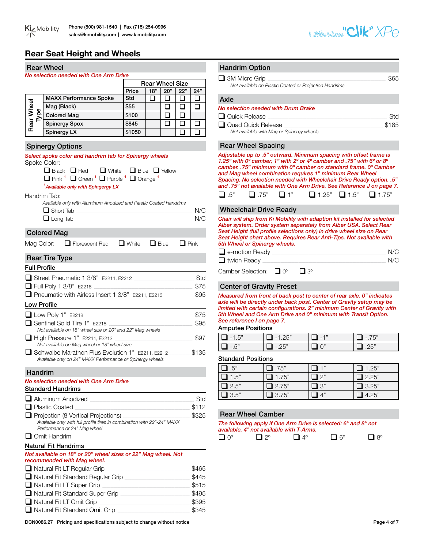# **Rear Seat Height and Wheels**

|                     | <b>Rear Wheel</b>                                                                                                                                                                                                                                                                                    |                                              |                        |               |               |                | <b>Handrim Option</b>      |                                                                                                                                                 |                                    |                                                                                                                                                                                                                                                                                                                                                                                 |
|---------------------|------------------------------------------------------------------------------------------------------------------------------------------------------------------------------------------------------------------------------------------------------------------------------------------------------|----------------------------------------------|------------------------|---------------|---------------|----------------|----------------------------|-------------------------------------------------------------------------------------------------------------------------------------------------|------------------------------------|---------------------------------------------------------------------------------------------------------------------------------------------------------------------------------------------------------------------------------------------------------------------------------------------------------------------------------------------------------------------------------|
|                     | No selection needed with One Arm Drive                                                                                                                                                                                                                                                               |                                              |                        |               |               |                | $\Box$ 3M Micro Grip       |                                                                                                                                                 |                                    | \$65                                                                                                                                                                                                                                                                                                                                                                            |
|                     |                                                                                                                                                                                                                                                                                                      |                                              | <b>Rear Wheel Size</b> |               |               |                |                            | Not available on Plastic Coated or Projection Handrims                                                                                          |                                    |                                                                                                                                                                                                                                                                                                                                                                                 |
|                     | <b>MAXX Performance Spoke</b>                                                                                                                                                                                                                                                                        | Price<br><b>Std</b>                          | 18"<br>$\Box$          | 20"<br>$\Box$ | 22"<br>$\Box$ | 24"<br>$\Box$  |                            |                                                                                                                                                 |                                    |                                                                                                                                                                                                                                                                                                                                                                                 |
| Rear Wheel          | Mag (Black)                                                                                                                                                                                                                                                                                          | \$55                                         |                        | $\Box$        | $\Box$        | $\Box$         | Axle                       |                                                                                                                                                 |                                    |                                                                                                                                                                                                                                                                                                                                                                                 |
| Type                | <b>Colored Mag</b>                                                                                                                                                                                                                                                                                   | \$100                                        |                        | ❏             | $\Box$        |                |                            | No selection needed with Drum Brake                                                                                                             |                                    |                                                                                                                                                                                                                                                                                                                                                                                 |
|                     | <b>Spinergy Spox</b>                                                                                                                                                                                                                                                                                 | \$845                                        |                        | $\Box$        | $\Box$        | $\Box$         | Quick Release              |                                                                                                                                                 |                                    | Std<br>\$185                                                                                                                                                                                                                                                                                                                                                                    |
|                     | Spinergy LX                                                                                                                                                                                                                                                                                          | \$1050                                       |                        |               | $\Box$        | $\Box$         | Quad Quick Release         | Not available with Mag or Spinergy wheels                                                                                                       |                                    |                                                                                                                                                                                                                                                                                                                                                                                 |
|                     |                                                                                                                                                                                                                                                                                                      |                                              |                        |               |               |                |                            |                                                                                                                                                 |                                    |                                                                                                                                                                                                                                                                                                                                                                                 |
|                     | <b>Spinergy Options</b>                                                                                                                                                                                                                                                                              |                                              |                        |               |               |                | <b>Rear Wheel Spacing</b>  |                                                                                                                                                 |                                    |                                                                                                                                                                                                                                                                                                                                                                                 |
|                     | Select spoke color and handrim tab for Spinergy wheels<br>Spoke Color:<br>$\Box$ Black $\Box$ Red<br>$\Box$ White $\Box$ Blue $\Box$ Yellow<br>□ Pink <sup>1</sup> □ Green <sup>1</sup> □ Purple <sup>1</sup> □ Orange <sup>1</sup><br><sup>1</sup> Available only with Spingergy LX<br>Handrim Tab: |                                              |                        |               |               |                | $\Box$ .5"                 | and Mag wheel combination requires 1" minimum Rear Wheel<br>$\Box$ .75"                                                                         | $\Box$ 1" $\Box$ 1.25" $\Box$ 1.5" | Adjustable up to .5" outward. Minimum spacing with offset frame is<br>1.25" with 0° camber, 1" with 2° or 4° camber and .75" with 6° or 8°<br>camber. .75" minimum with 0° camber on standard frame. 0° Camber<br>Spacing. No selection needed with Wheelchair Drive Ready option. .5"<br>and .75" not available with One Arm Drive. See Reference J on page 7.<br>$\Box$ 1.75" |
|                     | Available only with Aluminum Anodized and Plastic Coated Handrims                                                                                                                                                                                                                                    |                                              |                        |               |               |                |                            |                                                                                                                                                 |                                    |                                                                                                                                                                                                                                                                                                                                                                                 |
|                     | $\Box$ Short Tab                                                                                                                                                                                                                                                                                     |                                              |                        |               |               | N/C            |                            | <b>Wheelchair Drive Ready</b>                                                                                                                   |                                    |                                                                                                                                                                                                                                                                                                                                                                                 |
| Mag Color:          | $\Box$ Long Tab<br><b>Colored Mag</b><br>Florescent Red                                                                                                                                                                                                                                              | $\Box$ White                                 | $\Box$ Blue            |               | $\Box$ Pink   | N/C            |                            | 5th Wheel or Spinergy wheels.<br>e-motion Ready entrance and the motion of the state of the state of the state of the state of the state of the |                                    | Chair will ship from Ki Mobility with adaption kit installed for selected<br>Alber system. Order system separately from Alber USA. Select Rear<br>Seat Height (full profile selections only) in drive wheel size on Rear<br>Seat Height chart above. Requires Rear Anti-Tips. Not available with<br>N/C                                                                         |
|                     | <b>Rear Tire Type</b>                                                                                                                                                                                                                                                                                |                                              |                        |               |               |                | $\Box$ twion Ready         |                                                                                                                                                 |                                    | N/C                                                                                                                                                                                                                                                                                                                                                                             |
| <b>Full Profile</b> |                                                                                                                                                                                                                                                                                                      |                                              |                        |               |               |                |                            | Camber Selection: $\Box$ 0°                                                                                                                     | $\Box$ 3°                          |                                                                                                                                                                                                                                                                                                                                                                                 |
|                     | Street Pneumatic 1 3/8" E2211, E2212                                                                                                                                                                                                                                                                 |                                              |                        |               |               | Std            |                            |                                                                                                                                                 |                                    |                                                                                                                                                                                                                                                                                                                                                                                 |
|                     | Full Poly 1 3/8" E2218                                                                                                                                                                                                                                                                               |                                              |                        |               |               | \$75           |                            | <b>Center of Gravity Preset</b>                                                                                                                 |                                    |                                                                                                                                                                                                                                                                                                                                                                                 |
|                     | Pneumatic with Airless Insert 1 3/8" E2211, E2213                                                                                                                                                                                                                                                    |                                              |                        |               |               | \$95           |                            |                                                                                                                                                 |                                    | Measured from front of back post to center of rear axle. 0" indicates                                                                                                                                                                                                                                                                                                           |
| <b>Low Profile</b>  |                                                                                                                                                                                                                                                                                                      |                                              |                        |               |               |                |                            |                                                                                                                                                 |                                    | axle will be directly under back post. Center of Gravity setup may be<br>limited with certain configurations. 2" minimum Center of Gravity with                                                                                                                                                                                                                                 |
|                     | □ Low Poly 1" E2218                                                                                                                                                                                                                                                                                  |                                              |                        |               |               | \$75           |                            |                                                                                                                                                 |                                    | 5th Wheel and One Arm Drive and 0" minimum with Transit Option.                                                                                                                                                                                                                                                                                                                 |
|                     | Sentinel Solid Tire 1" E2218                                                                                                                                                                                                                                                                         |                                              |                        |               |               | \$95           | See reference I on page 7. |                                                                                                                                                 |                                    |                                                                                                                                                                                                                                                                                                                                                                                 |
|                     | Not available on 18" wheel size or 20" and 22" Mag wheels                                                                                                                                                                                                                                            |                                              |                        |               |               |                | <b>Amputee Positions</b>   |                                                                                                                                                 |                                    |                                                                                                                                                                                                                                                                                                                                                                                 |
|                     | High Pressure 1" E2211, E2212<br>Not available on Mag wheel or 18" wheel size                                                                                                                                                                                                                        |                                              |                        |               |               | \$97           | $-1.5"$                    | $-1.25"$                                                                                                                                        | $\square$ -1"                      | $\Box$ -.75"                                                                                                                                                                                                                                                                                                                                                                    |
|                     | Schwalbe Marathon Plus Evolution 1" E2211, E2212                                                                                                                                                                                                                                                     |                                              |                        |               |               | \$135          | $\Box$ -.5"                | $\Box$ -.25"                                                                                                                                    | $\Box$ 0"                          | $\Box$ .25"                                                                                                                                                                                                                                                                                                                                                                     |
|                     | Available only on 24" MAXX Performance or Spinergy wheels                                                                                                                                                                                                                                            |                                              |                        |               |               |                | <b>Standard Positions</b>  |                                                                                                                                                 |                                    |                                                                                                                                                                                                                                                                                                                                                                                 |
|                     |                                                                                                                                                                                                                                                                                                      |                                              |                        |               |               |                | $\Box$ .5"                 | $\Box$ .75"                                                                                                                                     | $\Box$ 1"                          | $\Box$ 1.25"                                                                                                                                                                                                                                                                                                                                                                    |
| <b>Handrim</b>      |                                                                                                                                                                                                                                                                                                      |                                              |                        |               |               |                | $\Box$ 1.5"                | $\Box$ 1.75"                                                                                                                                    | $\Box$ 2"                          | $\Box$ 2.25"                                                                                                                                                                                                                                                                                                                                                                    |
|                     | No selection needed with One Arm Drive                                                                                                                                                                                                                                                               |                                              |                        |               |               |                | $\Box$ 2.5"                | 2.75"<br>❏                                                                                                                                      | $\square$ 3"                       | $\Box$ 3.25"                                                                                                                                                                                                                                                                                                                                                                    |
|                     | <b>Standard Handrims</b>                                                                                                                                                                                                                                                                             |                                              |                        |               |               |                | $\Box$ 3.5"                | $\Box$ 3.75"                                                                                                                                    | $\Box$ 4"                          | $\Box$ 4.25"                                                                                                                                                                                                                                                                                                                                                                    |
|                     | $\Box$ Aluminum Anodized                                                                                                                                                                                                                                                                             |                                              |                        |               |               | Std            |                            |                                                                                                                                                 |                                    |                                                                                                                                                                                                                                                                                                                                                                                 |
|                     | $\Box$ Plastic Coated<br>$\Box$ Projection (8 Vertical Projections)                                                                                                                                                                                                                                  |                                              |                        |               |               | \$112<br>\$325 | <b>Rear Wheel Camber</b>   |                                                                                                                                                 |                                    |                                                                                                                                                                                                                                                                                                                                                                                 |
|                     | Available only with full profile tires in combination with 22"-24" MAXX                                                                                                                                                                                                                              |                                              |                        |               |               |                |                            | The following apply if One Arm Drive is selected: $6^{\circ}$ and $8^{\circ}$ not                                                               |                                    |                                                                                                                                                                                                                                                                                                                                                                                 |
|                     | Performance or 24" Mag wheel                                                                                                                                                                                                                                                                         |                                              |                        |               |               |                |                            | available. 4° not available with T-Arms.                                                                                                        |                                    |                                                                                                                                                                                                                                                                                                                                                                                 |
|                     | $\Box$ Omit Handrim                                                                                                                                                                                                                                                                                  |                                              |                        |               |               |                | $\Box$ 0°                  | $\Box$ 2°                                                                                                                                       | $\Box$ 4°<br>$\Box$ 6°             | $\Box$ 8°                                                                                                                                                                                                                                                                                                                                                                       |
|                     | <b>Natural Fit Handrims</b>                                                                                                                                                                                                                                                                          |                                              |                        |               |               |                |                            |                                                                                                                                                 |                                    |                                                                                                                                                                                                                                                                                                                                                                                 |
|                     | Not available on 18" or 20" wheel sizes or 22" Mag wheel. Not<br>recommended with Mag wheel.                                                                                                                                                                                                         |                                              |                        |               |               |                |                            |                                                                                                                                                 |                                    |                                                                                                                                                                                                                                                                                                                                                                                 |
|                     | Natural Fit LT Regular Grip                                                                                                                                                                                                                                                                          |                                              |                        |               |               | \$465          |                            |                                                                                                                                                 |                                    |                                                                                                                                                                                                                                                                                                                                                                                 |
|                     | Natural Fit Standard Regular Grip                                                                                                                                                                                                                                                                    |                                              |                        |               |               | \$445          |                            |                                                                                                                                                 |                                    |                                                                                                                                                                                                                                                                                                                                                                                 |
|                     | Natural Fit LT Super Grip                                                                                                                                                                                                                                                                            |                                              |                        |               |               | \$515          |                            |                                                                                                                                                 |                                    |                                                                                                                                                                                                                                                                                                                                                                                 |
|                     | Natural Fit Standard Super Grip                                                                                                                                                                                                                                                                      |                                              |                        |               |               | \$495          |                            |                                                                                                                                                 |                                    |                                                                                                                                                                                                                                                                                                                                                                                 |
|                     | Natural Fit LT Omit Grip                                                                                                                                                                                                                                                                             | the control of the control of the control of |                        |               |               | \$395          |                            |                                                                                                                                                 |                                    |                                                                                                                                                                                                                                                                                                                                                                                 |
|                     | Natural Fit Standard Omit Grip                                                                                                                                                                                                                                                                       |                                              |                        |               |               | \$345          |                            |                                                                                                                                                 |                                    |                                                                                                                                                                                                                                                                                                                                                                                 |
|                     | DCN0086.27 Pricing and specifications subject to change without notice                                                                                                                                                                                                                               |                                              |                        |               |               |                |                            |                                                                                                                                                 |                                    | Page 4 of 7                                                                                                                                                                                                                                                                                                                                                                     |



# q 3M Micro Grip \_\_\_\_\_\_\_\_\_\_\_\_\_\_\_\_\_\_\_\_\_\_\_\_\_\_\_\_\_\_\_\_\_\_\_\_\_\_\_\_\_\_\_\_\_\_\_\_\_\_\_\_\_\_\_\_\_\_\_\_\_\_\_\_\_\_\_\_\_\_\_\_\_\_\_\_\_\_\_\_\_\_\_\_\_ \$65 *Not available on Plastic Coated or Projection Handrims No selection needed with Drum Brake* q Quick Release \_\_\_\_\_\_\_\_\_\_\_\_\_\_\_\_\_\_\_\_\_\_\_\_\_\_\_\_\_\_\_\_\_\_\_\_\_\_\_\_\_\_\_\_\_\_\_\_\_\_\_\_\_\_\_\_\_\_\_\_\_\_\_\_\_\_\_\_\_\_\_\_\_\_\_\_\_\_\_\_\_\_\_\_\_\_ Std q Quad Quick Release \_\_\_\_\_\_\_\_\_\_\_\_\_\_\_\_\_\_\_\_\_\_\_\_\_\_\_\_\_\_\_\_\_\_\_\_\_\_\_\_\_\_\_\_\_\_\_\_\_\_\_\_\_\_\_\_\_\_\_\_\_\_\_\_\_\_\_\_\_\_\_ \$185 *Not available with Mag or Spinergy wheels Adjustable up to .5" outward. Minimum spacing with offset frame is 1.25" with 0º camber, 1" with 2º or 4º camber and .75" with 6º or 8º*

|                                                          |                                                                      |  | camber. .75" minimum with 0° camber on standard frame. 0° Camber       |  |                                                                       |  |  |
|----------------------------------------------------------|----------------------------------------------------------------------|--|------------------------------------------------------------------------|--|-----------------------------------------------------------------------|--|--|
| and Mag wheel combination requires 1" minimum Rear Wheel |                                                                      |  |                                                                        |  |                                                                       |  |  |
|                                                          | Spacing. No selection needed with Wheelchair Drive Ready option. .5" |  |                                                                        |  |                                                                       |  |  |
|                                                          |                                                                      |  |                                                                        |  | and .75" not available with One Arm Drive. See Reference J on page 7. |  |  |
|                                                          |                                                                      |  | $\Box$ .5" $\Box$ .75" $\Box$ 1" $\Box$ 1.25" $\Box$ 1.5" $\Box$ 1.75" |  |                                                                       |  |  |

| $\Box$ e-motion Ready                                             | N/C |
|-------------------------------------------------------------------|-----|
| $\Box$ twion Ready                                                | N/C |
| $O_{\text{c}}$ and $\sim$ $O_{\text{c}}$ and $\sim$ $\Box$ $\sim$ |     |

| $\Box$ -1.5" | つに"         | $\sqrt{K}$ " |
|--------------|-------------|--------------|
| $1 - 5$      | $\bigcap F$ | $\Omega$     |

| $\mathsf{L}5$ " | $\overline{1.75}$ |      | $\mathbf{1}$ 1.25" |
|-----------------|-------------------|------|--------------------|
| $\Box$ 1.5"     | 1.75"             | "? ר | $\Box$ 2.25"       |
| $\Box$ 2.5"     | 2.75"             | l 3" | 3.25"              |
| 3.5"            | 3.75"             |      | 4.25"              |

|           | The following apply if One Arm Drive is selected: 6° and 8° not<br>available. 4° not available with T-Arms. |           |           |           |
|-----------|-------------------------------------------------------------------------------------------------------------|-----------|-----------|-----------|
| $\Box$ 0° | $\Box$ 2°                                                                                                   | $\Box$ 4° | $\Box$ 6° | $\Box$ 8° |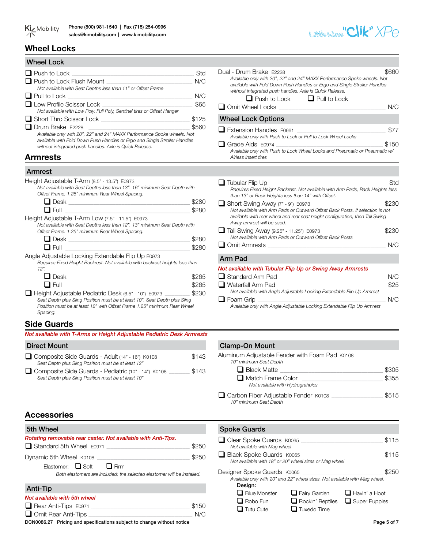

# **Wheel Locks**

| Std                                                                                                                                                           |
|---------------------------------------------------------------------------------------------------------------------------------------------------------------|
| N/C                                                                                                                                                           |
| N/C                                                                                                                                                           |
| \$65                                                                                                                                                          |
| \$125                                                                                                                                                         |
| \$560<br>Available only with 20", 22" and 24" MAXX Performance Spoke wheels. Not<br>available with Fold Down Push Handles or Ergo and Single Stroller Handles |
|                                                                                                                                                               |

# **Armrests** *Airless Insert tires*

# Armrest

Height Adjustable T-Arm (8.5" - 13.5") E0973

| Not available with Seat Depths less than 13". 16" minimum Seat Depth with |
|---------------------------------------------------------------------------|
| Offset Frame. 1.25" minimum Rear Wheel Spacing.                           |

| ⊶ |  |
|---|--|

| Height Adjustable T-Arm Low (7.5" - 11.5") E0973                          |
|---------------------------------------------------------------------------|
| Not available with Seat Depths less than 12". 13" minimum Seat Depth with |
| Offset Frame. 1.25" minimum Rear Wheel Spacing.                           |

| ⊶ |  |
|---|--|

Angle Adjustable Locking Extendable Flip Up E0973

*Requires Fixed Height Backrest. Not available with backrest heights less than 12".*

| $\Box$ Desk                                                                                                                                            | \$265 |
|--------------------------------------------------------------------------------------------------------------------------------------------------------|-------|
| $\Box$ Full                                                                                                                                            | \$265 |
| Height Adjustable Pediatric Desk (6.5" - 10") E0973                                                                                                    | \$230 |
| Seat Depth plus Sling Position must be at least 10". Seat Depth plus Sling<br>Position must be at least 12" with Offset Frame 1.25" minimum Rear Wheel |       |
| Spacing.                                                                                                                                               |       |

# **Side Guards**

|  | Not available with T-Arms or Height Adjustable Pediatric Desk Armrests |
|--|------------------------------------------------------------------------|
|--|------------------------------------------------------------------------|

| Composite Side Guards - Adult (14" - 16") K0108       | \$143 |
|-------------------------------------------------------|-------|
| Seat Depth plus Sling Position must be at least 12"   |       |
| □ Composite Side Guards - Pediatric (10" - 14") K0108 | \$143 |
| Seat Depth plus Sling Position must be at least 10"   |       |

# **Accessories**

| 5th Wheel                                                                                                                                |       |
|------------------------------------------------------------------------------------------------------------------------------------------|-------|
| Rotating removable rear caster. Not available with Anti-Tips.<br>$\Box$ Standard 5th Wheel E0971                                         | \$250 |
| Dynamic 5th Wheel K0108<br>Elastomer: $\Box$ Soft $\Box$ Firm<br>Both elastomers are included; the selected elastomer will be installed. | \$250 |
| <b>Anti-Tip</b>                                                                                                                          |       |
| Not available with 5th wheel                                                                                                             |       |

| Rear Anti-Tips E0971 | \$150 |
|----------------------|-------|
| Omit Rear Anti-Tips  | N/C   |

DCN0086.27 Pricing and specifications subject to change without notice Page 5 of 7

| Dual - Drum Brake F2228<br>Available only with 20", 22" and 24" MAXX Performance Spoke wheels. Not<br>available with Fold Down Push Handles or Ergo and Single Stroller Handles<br>without integrated push handles. Axle is Quick Release.<br>$\Box$ Push to Lock<br>$\Box$ Pull to Lock<br>$\Box$ Omit Wheel Locks | \$660<br>N/C |
|---------------------------------------------------------------------------------------------------------------------------------------------------------------------------------------------------------------------------------------------------------------------------------------------------------------------|--------------|
| <b>Wheel Lock Options</b>                                                                                                                                                                                                                                                                                           |              |
| ■ Extension Handles F0961<br>Available only with Push to Lock or Pull to Lock Wheel Locks                                                                                                                                                                                                                           | \$77         |
| ■ Grade Aids F0974<br>Available only with Push to Lock Wheel Locks and Pneumatic or Pneumatic w/<br>Airless Insert tires                                                                                                                                                                                            | \$150        |
|                                                                                                                                                                                                                                                                                                                     |              |
| $\Box$ Tubular Flip Up<br>Requires Fixed Height Backrest. Not available with Arm Pads, Back Heights less<br>than 13" or Back Heights less than 14" with Offset.                                                                                                                                                     | Std          |
| Short Swing Away (7" - 9") E0973<br>Not available with Arm Pads or Outward Offset Back Posts. If selection is not<br>available with rear wheel and rear seat height configuration, then Tall Swing<br>Away armrest will be used.                                                                                    | \$230        |
| ■ Tall Swing Away (9.25" - 11.25") E0973<br>Not available with Arm Pads or Outward Offset Back Posts                                                                                                                                                                                                                | \$230        |
| $\Box$ Omit Armrests                                                                                                                                                                                                                                                                                                | N/C          |
| <b>Arm Pad</b>                                                                                                                                                                                                                                                                                                      |              |
| Not available with Tubular Flip Up or Swing Away Armrests                                                                                                                                                                                                                                                           |              |
| Standard Arm Pad                                                                                                                                                                                                                                                                                                    | N/C          |
| ■ Waterfall Arm Pad<br>Not available with Angle Adjustable Locking Extendable Flip Up Armrest                                                                                                                                                                                                                       | \$25         |
| ⊿ Foam Grip                                                                                                                                                                                                                                                                                                         | N/C          |

q Foam Grip \_\_\_\_\_\_\_\_\_\_\_\_\_\_\_\_\_\_\_\_\_\_\_\_\_\_\_\_\_\_\_\_\_\_\_\_\_\_\_\_\_\_\_\_\_\_\_\_\_\_\_\_\_\_\_\_\_\_\_\_\_\_\_\_\_\_\_\_\_\_\_\_\_\_\_\_\_\_\_\_\_\_\_\_\_\_\_\_\_\_\_\_ N/C *Available only with Angle Adjustable Locking Extendable Flip Up Armrest*

# Direct Mount **Clamp-On Mount**

| Aluminum Adjustable Fender with Foam Pad K0108<br>10" minimum Seat Depth |       |
|--------------------------------------------------------------------------|-------|
| $\Box$ Black Matte                                                       | \$305 |
| $\Box$ Match Frame Color<br>Not available with Hydrograhpics             | \$355 |
| Carbon Fiber Adjustable Fender K0108<br>10" minimum Seat Depth           | \$515 |

# **Spoke Guards**

| □ Clear Spoke Guards K0065<br>Not available with Mag wheel                                                           |                         |                      | \$115 |
|----------------------------------------------------------------------------------------------------------------------|-------------------------|----------------------|-------|
| Black Spoke Guards K0065<br>Not available with 18" or 20" wheel sizes or Mag wheel                                   |                         |                      | \$115 |
| Designer Spoke Guards K0065<br>Available only with 20" and 22" wheel sizes. Not available with Mag wheel.<br>Design: |                         |                      | \$250 |
| $\Box$ Blue Monster                                                                                                  | $\Box$ Fairy Garden     | $\Box$ Havin' a Hoot |       |
| $\Box$ Robo Fun                                                                                                      | $\Box$ Rockin' Reptiles | $\Box$ Super Puppies |       |
| Tutu Cute                                                                                                            | Tuxedo Time             |                      |       |

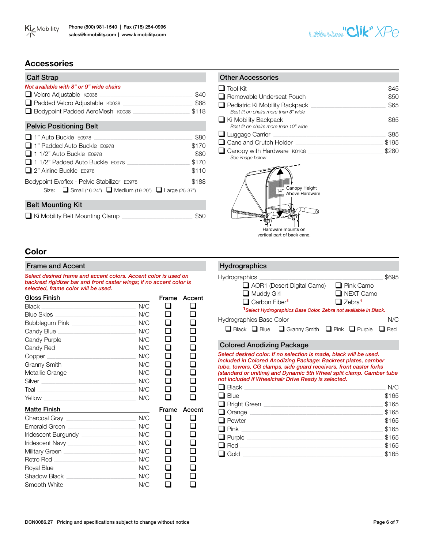



# **Accessories**

| <b>Calf Strap</b>                                                                                                                                                                              |                                         |
|------------------------------------------------------------------------------------------------------------------------------------------------------------------------------------------------|-----------------------------------------|
| Not available with 8" or 9" wide chairs<br>$\Box$ Velcro Adjustable $K0038$<br>Padded Velcro Adjustable K0038<br>□ Bodypoint Padded AeroMesh K0038                                             | \$40<br>\$68<br>\$118                   |
| <b>Pelvic Positioning Belt</b>                                                                                                                                                                 |                                         |
| □ 1" Auto Buckle E0978<br>■ 1" Padded Auto Buckle E0978 New York Hotel Auto Buckle E0978<br>□ 1 1/2" Auto Buckle_F0978<br>$\Box$ 1 1/2" Padded Auto Buckle $E$ 0978<br>2" Airline Buckle E0978 | \$80<br>\$170<br>\$80<br>\$170<br>\$110 |
| Bodypoint Evoflex - Pelvic Stabilizer E0978<br>Size: $\Box$ Small (16-24") $\Box$ Medium (19-29") $\Box$ Large (25-37")                                                                        | \$188                                   |
| <b>Belt Mounting Kit</b>                                                                                                                                                                       |                                         |
| $\Box$ Ki Mobility Belt Mounting Clamp                                                                                                                                                         |                                         |

| <b>Other Accessories</b>                                                      |       |
|-------------------------------------------------------------------------------|-------|
| $\Box$ Tool Kit                                                               | \$45  |
| □ Removable Underseat Pouch                                                   | \$50  |
| $\Box$ Pediatric Ki Mobility Backpack<br>Best fit on chairs more than 8" wide | \$65  |
| $\Box$ Ki Mobility Backpack<br>Best fit on chairs more than 10" wide          | \$65  |
| $\Box$ Luggage Carrier                                                        | \$85  |
| $\Box$ Cane and Crutch Holder                                                 | \$195 |
| Canopy with Hardware K0108<br>See image below                                 | \$280 |
|                                                                               |       |



# **Color**

#### Frame and Accent

*Select desired frame and accent colors. Accent color is used on backrest rigidizer bar and front caster wings; if no accent color is selected, frame color will be used.*

| Gloss Finish                                                                                                                                                                                                                         |     | Frame         | Accent       |
|--------------------------------------------------------------------------------------------------------------------------------------------------------------------------------------------------------------------------------------|-----|---------------|--------------|
| Black                                                                                                                                                                                                                                | N/C | ப             |              |
| <b>Blue Skies</b>                                                                                                                                                                                                                    | N/C | ı <b>ı</b>    |              |
| Bubblegum Pink <b>Exercise Service Service Service Service</b>                                                                                                                                                                       | N/C | . .           |              |
| Candy Blue <b>Candy Blue</b>                                                                                                                                                                                                         | N/C | l I           | I.           |
|                                                                                                                                                                                                                                      | N/C | l I           | $\mathbf{L}$ |
| Candy Red <b>Candy Red</b>                                                                                                                                                                                                           | N/C | H             | H            |
| Copper contract the contract of the contract of the contract of the contract of the contract of the contract of the contract of the contract of the contract of the contract of the contract of the contract of the contract o       | N/C | l 1           | l I          |
|                                                                                                                                                                                                                                      | N/C | l 1           |              |
| Metallic Orange <b>Exercise Service Service Service Service</b>                                                                                                                                                                      | N/C | l I           |              |
| Silver <b>Executive Silver</b>                                                                                                                                                                                                       | N/C | l I           | H            |
| Teal <b>Exploration Contract Contract Contract Contract Contract Contract Contract Contract Contract Contract Contract Contract Contract Contract Contract Contract Contract Contract Contract Contract Contract Contract Contra</b> | N/C | l.            |              |
| <u>Yellow and the community of the community of the community of the community of the community of the community of the community of the community of the community of the community of the community of the community of the co</u> | N/C | $\mathcal{L}$ |              |
| <b>Matte Finish</b>                                                                                                                                                                                                                  |     | Frame         | Accent       |
| Charcoal Gray <b>Charcoal Gray</b>                                                                                                                                                                                                   | N/C | l 1           |              |
|                                                                                                                                                                                                                                      | N/C |               |              |
|                                                                                                                                                                                                                                      | N/C | a ser         |              |
|                                                                                                                                                                                                                                      | N/C | . .           |              |
| Military Green <b>Military Green</b>                                                                                                                                                                                                 | N/C |               |              |
| Retro Red                                                                                                                                                                                                                            | N/C | - 1           |              |

# Hydrographics Hydrographics \_\_\_\_\_\_\_\_\_\_\_\_\_\_\_\_\_\_\_\_\_\_\_\_\_\_\_\_\_\_\_\_\_\_\_\_\_\_\_\_\_\_\_\_\_\_\_\_\_\_\_\_\_\_\_\_\_\_\_\_\_\_\_\_\_\_\_\_\_\_\_\_\_\_\_\_\_\_\_\_\_\_\_\_\_\_\_\_\_ \$695 **Q** AOR1 (Desert Digital Camo) Q Pink Camo<br>
Q Muddy Girl **Q** NEXT Camo  $\Box$  NEXT Camo □ Carbon Fiber<sup>1</sup> □ Zebra<sup>1</sup> **<sup>1</sup>***Select Hydrographics Base Color. Zebra not available in Black.* Hydrographics Base Color \_\_\_\_\_\_\_\_\_\_\_\_\_\_\_\_\_\_\_\_\_\_\_\_\_\_\_\_\_\_\_\_\_\_\_\_\_\_\_\_\_\_\_\_\_\_\_\_\_\_\_\_\_\_\_\_\_\_\_\_\_\_\_\_\_\_\_\_ N/C  $\Box$  Black  $\Box$  Blue  $\Box$  Granny Smith  $\Box$  Pink  $\Box$  Purple  $\Box$  Red

# Colored Anodizing Package

*Select desired color. If no selection is made, black will be used. Included in Colored Anodizing Package: Backrest plates, camber tube, towers, CG clamps, side guard receivers, front caster forks (standard or unitine) and Dynamic 5th Wheel split clamp. Camber tube not included if Wheelchair Drive Ready is selected.* 

| $\Box$ Black $\Box$  | N/C   |
|----------------------|-------|
| $\Box$ Blue          | \$165 |
| $\Box$ Bright Green  | \$165 |
| $\Box$ Orange        | \$165 |
| $\Box$ Pewter $\Box$ | \$165 |
| $\Box$ Pink $\Box$   | \$165 |
| $\Box$ Purple        | \$165 |
| $\Box$ Red           | \$165 |
| $\Box$ Gold          | \$165 |
|                      |       |

 $\bar{\mathbf{q}}$  ,  $\bar{\mathbf{q}}$ a<br>a a  $\begin{matrix} 1 & 0 \\ 0 & 1 \end{matrix}$  $\Box$ 

Military Green \_\_\_\_\_\_\_\_\_\_\_\_\_\_\_\_\_\_\_\_\_\_\_\_\_\_\_\_\_\_\_\_\_\_\_\_\_\_\_\_\_\_\_\_\_\_\_\_\_\_\_\_ N/C Retro Red \_\_\_\_\_\_\_\_\_\_\_\_\_\_\_\_\_\_\_\_\_\_\_\_\_\_\_\_\_\_\_\_\_\_\_\_\_\_\_\_\_\_\_\_\_\_\_\_\_\_\_\_\_\_\_\_\_\_\_ N/C Royal Blue \_\_\_\_\_\_\_\_\_\_\_\_\_\_\_\_\_\_\_\_\_\_\_\_\_\_\_\_\_\_\_\_\_\_\_\_\_\_\_\_\_\_\_\_\_\_\_\_\_\_\_\_\_\_\_\_\_\_ N/C Shadow Black \_\_\_\_\_\_\_\_\_\_\_\_\_\_\_\_\_\_\_\_\_\_\_\_\_\_\_\_\_\_\_\_\_\_\_\_\_\_\_\_\_\_\_\_\_\_\_\_\_\_ N/C Smooth White **Example 20** N/C